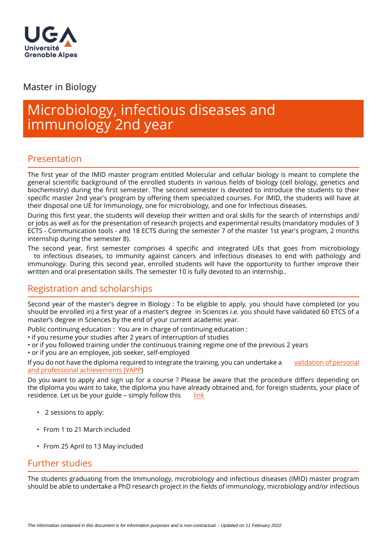

## Master in Biology

# Microbiology, infectious diseases and immunology 2nd year

# Presentation

The first year of the IMID master program entitled Molecular and cellular biology is meant to complete the general scientific background of the enrolled students in various fields of biology (cell biology, genetics and biochemistry) during the first semester. The second semester is devoted to introduce the students to their specific master 2nd year's program by offering them specialized courses. For IMID, the students will have at their disposal one UE for Immunology, one for microbiology, and one for Infectious diseases.

During this first year, the students will develop their written and oral skills for the search of internships and/ or jobs as well as for the presentation of research projects and experimental results (mandatory modules of 3 ECTS - Communication tools - and 18 ECTS during the semester 7 of the master 1st year's program, 2 months internship during the semester 8).

The second year, first semester comprises 4 specific and integrated UEs that goes from microbiology to infectious diseases, to immunity against cancers and infectious diseases to end with pathology and immunology. During this second year, enrolled students will have the opportunity to further improve their written and oral presentation skills. The semester 10 is fully devoted to an internship..

# Registration and scholarships

Second year of the master's degree in Biology : To be eligible to apply, you should have completed (or you should be enrolled in) a first year of a master's degree in Sciences i.e. you should have validated 60 ETCS of a master's degree in Sciences by the end of your current academic year.

- Public continuing education : You are in charge of continuing education :
- if you resume your studies after 2 years of interruption of studies
- or if you followed training under the continuous training regime one of the previous 2 years
- or if you are an employee, job seeker, self-employed

If you do not have the diploma required to integrate the training, you can undertake a [validation of personal](https://www.univ-grenoble-alpes.fr/construire-son-parcours/valider-ses-acquis/validation-des-acquis-personnels-et-professionnels-vapp-/)  [and professional achievements \(VAPP](https://www.univ-grenoble-alpes.fr/construire-son-parcours/valider-ses-acquis/validation-des-acquis-personnels-et-professionnels-vapp-/))

Do you want to apply and sign up for a course ? Please be aware that the procedure differs depending on the diploma you want to take, the diploma you have already obtained and, for foreign students, your place of residence. Let us be your guide  $-$  simply follow this  $\qquad$  [link](https://www.univ-grenoble-alpes.fr/education/how-to-apply/applying-and-registering/)

- 2 sessions to apply:
- From 1 to 21 March included
- From 25 April to 13 May included

#### Further studies

The students graduating from the Immunology, microbiology and infectious diseases (IMID) master program should be able to undertake a PhD research project in the fields of immunology, microbiology and/or infectious